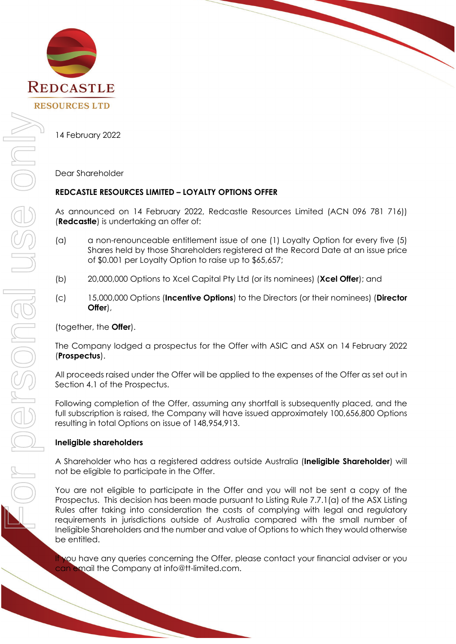

14 February 2022

Dear Shareholder

## **REDCASTLE RESOURCES LIMITED – LOYALTY OPTIONS OFFER**

As announced on 14 February 2022, Redcastle Resources Limited (ACN 096 781 716)) (**Redcastle**) is undertaking an offer of:

- (a) a non-renounceable entitlement issue of one (1) Loyalty Option for every five (5) Shares held by those Shareholders registered at the Record Date at an issue price of \$0.001 per Loyalty Option to raise up to \$65,657;
- (b) 20,000,000 Options to Xcel Capital Pty Ltd (or its nominees) (**Xcel Offer**); and
- (c) 15,000,000 Options (**Incentive Options**) to the Directors (or their nominees) (**Director Offer**),

(together, the **Offer**).

The Company lodged a prospectus for the Offer with ASIC and ASX on 14 February 2022 (**Prospectus**).

All proceeds raised under the Offer will be applied to the expenses of the Offer as set out in Section 4.1 of the Prospectus.

Following completion of the Offer, assuming any shortfall is subsequently placed, and the full subscription is raised, the Company will have issued approximately 100,656,800 Options resulting in total Options on issue of 148,954,913.

## **Ineligible shareholders**

A Shareholder who has a registered address outside Australia (**Ineligible Shareholder**) will not be eligible to participate in the Offer.

You are not eligible to participate in the Offer and you will not be sent a copy of the Prospectus. This decision has been made pursuant to Listing Rule 7.7.1(a) of the ASX Listing Rules after taking into consideration the costs of complying with legal and regulatory requirements in jurisdictions outside of Australia compared with the small number of Ineligible Shareholders and the number and value of Options to which they would otherwise be entitled.

If you have any queries concerning the Offer, please contact your financial adviser or you can email the Company at info@tt-limited.com.